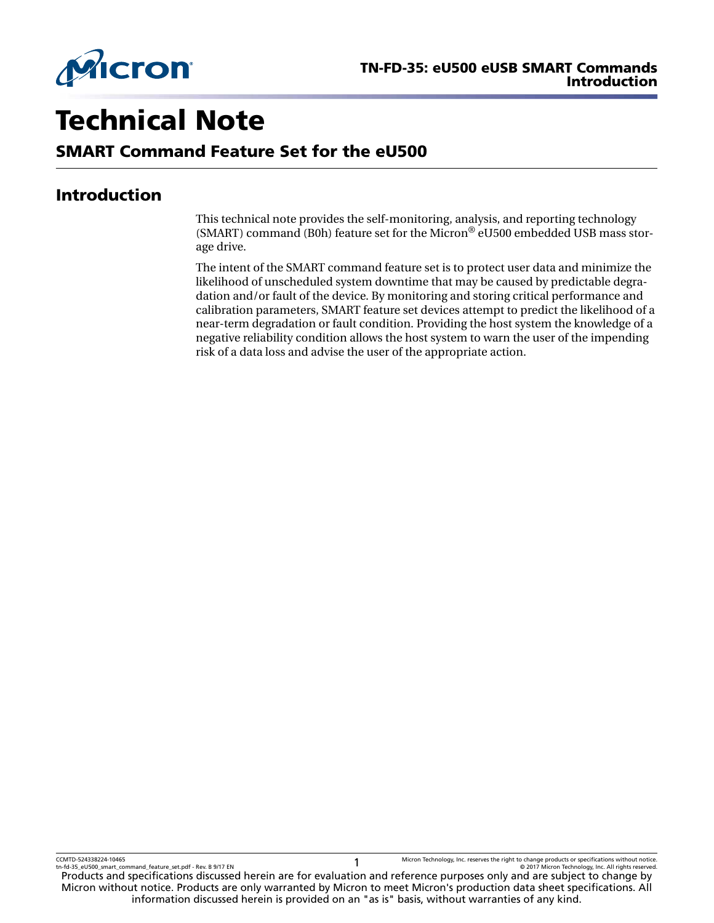

# Technical Note

# SMART Command Feature Set for the eU500

# Introduction

This technical note provides the self-monitoring, analysis, and reporting technology (SMART) command (B0h) feature set for the Micron® eU500 embedded USB mass storage drive.

The intent of the SMART command feature set is to protect user data and minimize the likelihood of unscheduled system downtime that may be caused by predictable degradation and/or fault of the device. By monitoring and storing critical performance and calibration parameters, SMART feature set devices attempt to predict the likelihood of a near-term degradation or fault condition. Providing the host system the knowledge of a negative reliability condition allows the host system to warn the user of the impending risk of a data loss and advise the user of the appropriate action.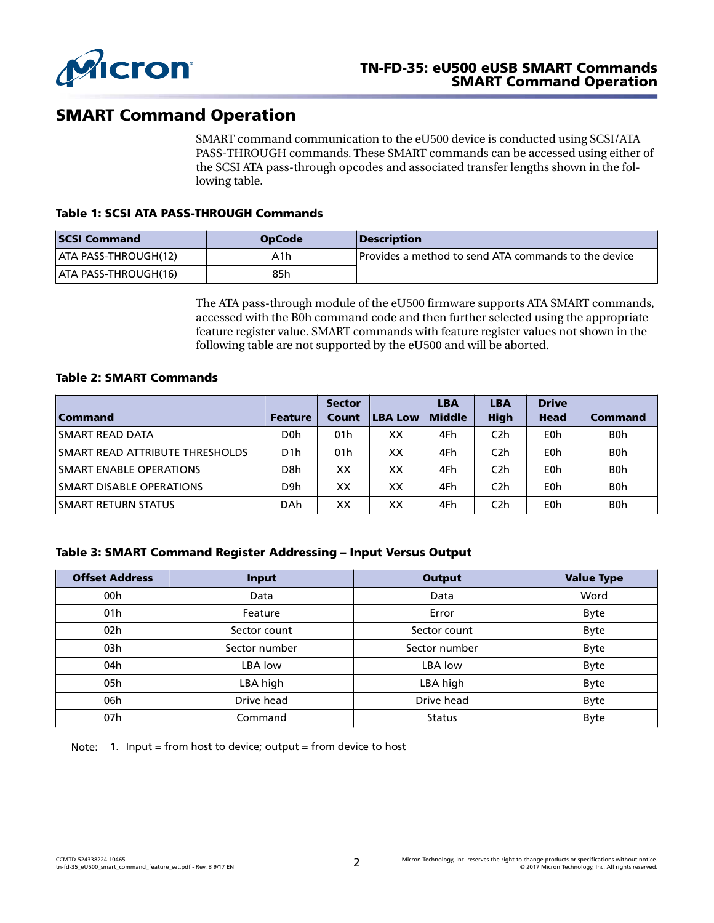

# SMART Command Operation

SMART command communication to the eU500 device is conducted using SCSI/ATA PASS-THROUGH commands. These SMART commands can be accessed using either of the SCSI ATA pass-through opcodes and associated transfer lengths shown in the following table.

#### Table 1: SCSI ATA PASS-THROUGH Commands

| <b>SCSI Command</b>         | <b>OpCode</b> | <i><b>Description</b></i>                                   |
|-----------------------------|---------------|-------------------------------------------------------------|
| <b>ATA PASS-THROUGH(12)</b> | A1h           | <b>Provides a method to send ATA commands to the device</b> |
| <b>ATA PASS-THROUGH(16)</b> | 85h           |                                                             |

The ATA pass-through module of the eU500 firmware supports ATA SMART commands, accessed with the B0h command code and then further selected using the appropriate feature register value. SMART commands with feature register values not shown in the following table are not supported by the eU500 and will be aborted.

#### Table 2: SMART Commands

|                                         |                  | <b>Sector</b> |                | <b>LBA</b>    | <b>LBA</b>       | <b>Drive</b> |                  |
|-----------------------------------------|------------------|---------------|----------------|---------------|------------------|--------------|------------------|
| <b>Command</b>                          | <b>Feature</b>   | Count         | <b>LBA Low</b> | <b>Middle</b> | <b>High</b>      | <b>Head</b>  | <b>Command</b>   |
| SMART READ DATA                         | D <sub>0</sub> h | 01h           | XХ             | 4Fh           | C <sub>2</sub> h | E0h          | B <sub>0</sub> h |
| <b>ISMART READ ATTRIBUTE THRESHOLDS</b> | D <sub>1</sub> h | 01h           | XX             | 4Fh           | C <sub>2</sub> h | E0h          | B <sub>0</sub> h |
| <b>SMART ENABLE OPERATIONS</b>          | D8h              | xх            | XХ             | 4Fh           | C <sub>2</sub> h | E0h          | B <sub>0</sub> h |
| <b>SMART DISABLE OPERATIONS</b>         | D <sub>9</sub> h | XX            | XХ             | 4Fh           | C <sub>2</sub> h | E0h          | B <sub>0</sub> h |
| SMART RETURN STATUS                     | <b>DAh</b>       | XX            | XХ             | 4Fh           | C <sub>2</sub> h | E0h          | B <sub>0</sub> h |

#### Table 3: SMART Command Register Addressing – Input Versus Output

| <b>Offset Address</b> | Input         | <b>Output</b> | <b>Value Type</b> |
|-----------------------|---------------|---------------|-------------------|
| 00h                   | Data          | Data          | Word              |
| 01 <sub>h</sub>       | Feature       | Error         | Byte              |
| 02h                   | Sector count  | Sector count  | <b>Byte</b>       |
| 03h                   | Sector number | Sector number | Byte              |
| 04h                   | LBA low       | LBA low       | Byte              |
| 05h                   | LBA high      | LBA high      | Byte              |
| 06h                   | Drive head    | Drive head    | Byte              |
| 07h                   | Command       | <b>Status</b> | Byte              |

Note: 1. Input = from host to device; output = from device to host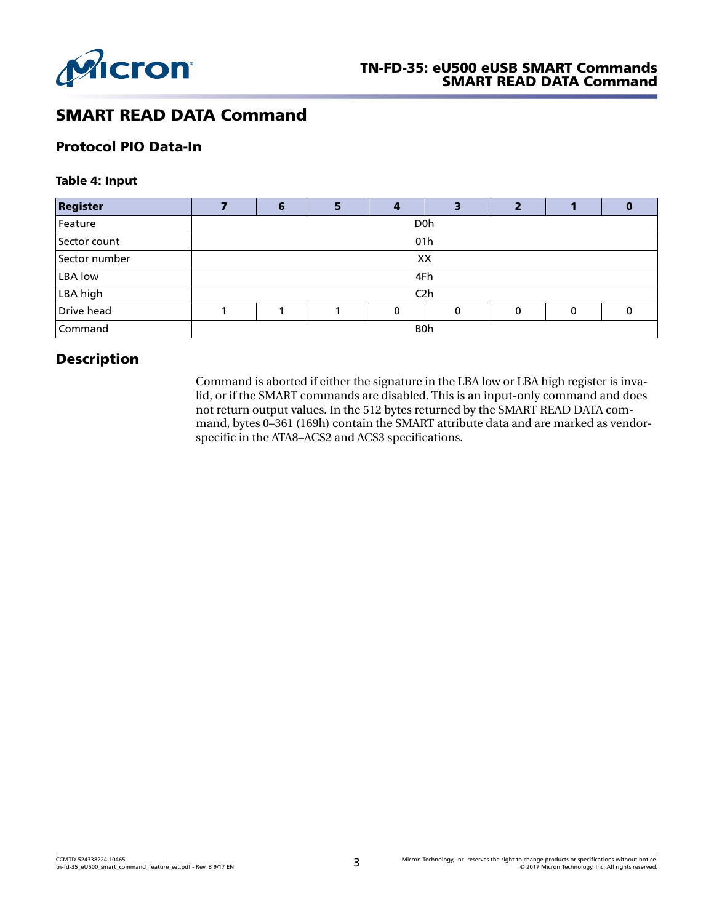

# SMART READ DATA Command

## Protocol PIO Data-In

#### Table 4: Input

| <b>Register</b> |            | 6                |  |   | З           |   |   |   |
|-----------------|------------|------------------|--|---|-------------|---|---|---|
| Feature         |            | D <sub>0</sub> h |  |   |             |   |   |   |
| Sector count    |            | 01 <sub>h</sub>  |  |   |             |   |   |   |
| Sector number   |            | XX               |  |   |             |   |   |   |
| <b>LBA</b> low  |            | 4Fh              |  |   |             |   |   |   |
| LBA high        |            | C <sub>2</sub> h |  |   |             |   |   |   |
| Drive head      |            |                  |  | 0 | $\mathbf 0$ | 0 | 0 | O |
| Command         | <b>B0h</b> |                  |  |   |             |   |   |   |

## Description

Command is aborted if either the signature in the LBA low or LBA high register is invalid, or if the SMART commands are disabled. This is an input-only command and does not return output values. In the 512 bytes returned by the SMART READ DATA command, bytes 0–361 (169h) contain the SMART attribute data and are marked as vendorspecific in the ATA8–ACS2 and ACS3 specifications.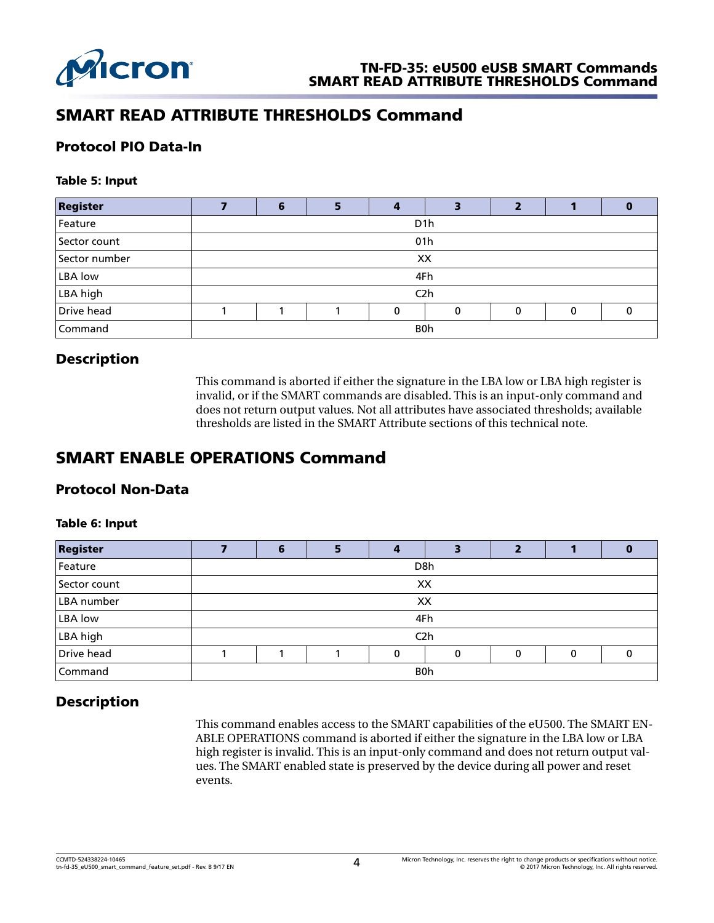

# SMART READ ATTRIBUTE THRESHOLDS Command

## Protocol PIO Data-In

#### Table 5: Input

| <b>Register</b> | 6                |  |   |   |   |             |   |  |
|-----------------|------------------|--|---|---|---|-------------|---|--|
| Feature         | D <sub>1</sub> h |  |   |   |   |             |   |  |
| Sector count    | 01h              |  |   |   |   |             |   |  |
| Sector number   | XX               |  |   |   |   |             |   |  |
| <b>LBA</b> low  | 4Fh              |  |   |   |   |             |   |  |
| LBA high        | C <sub>2</sub> h |  |   |   |   |             |   |  |
| Drive head      |                  |  | Λ | 0 | 0 | $\mathbf 0$ | U |  |
| Command         | B0h              |  |   |   |   |             |   |  |

## Description

This command is aborted if either the signature in the LBA low or LBA high register is invalid, or if the SMART commands are disabled. This is an input-only command and does not return output values. Not all attributes have associated thresholds; available thresholds are listed in the SMART Attribute sections of this technical note.

# SMART ENABLE OPERATIONS Command

## Protocol Non-Data

#### Table 6: Input

| <b>Register</b> |     | ю                |  |   |             |   |   |  |  |
|-----------------|-----|------------------|--|---|-------------|---|---|--|--|
| Feature         |     | D <sub>8</sub> h |  |   |             |   |   |  |  |
| Sector count    |     | XX               |  |   |             |   |   |  |  |
| LBA number      |     | XX               |  |   |             |   |   |  |  |
| LBA low         |     | 4Fh              |  |   |             |   |   |  |  |
| LBA high        |     | C <sub>2</sub> h |  |   |             |   |   |  |  |
| Drive head      |     |                  |  | 0 | $\mathbf 0$ | 0 | 0 |  |  |
| Command         | B0h |                  |  |   |             |   |   |  |  |

## Description

This command enables access to the SMART capabilities of the eU500. The SMART EN-ABLE OPERATIONS command is aborted if either the signature in the LBA low or LBA high register is invalid. This is an input-only command and does not return output values. The SMART enabled state is preserved by the device during all power and reset events.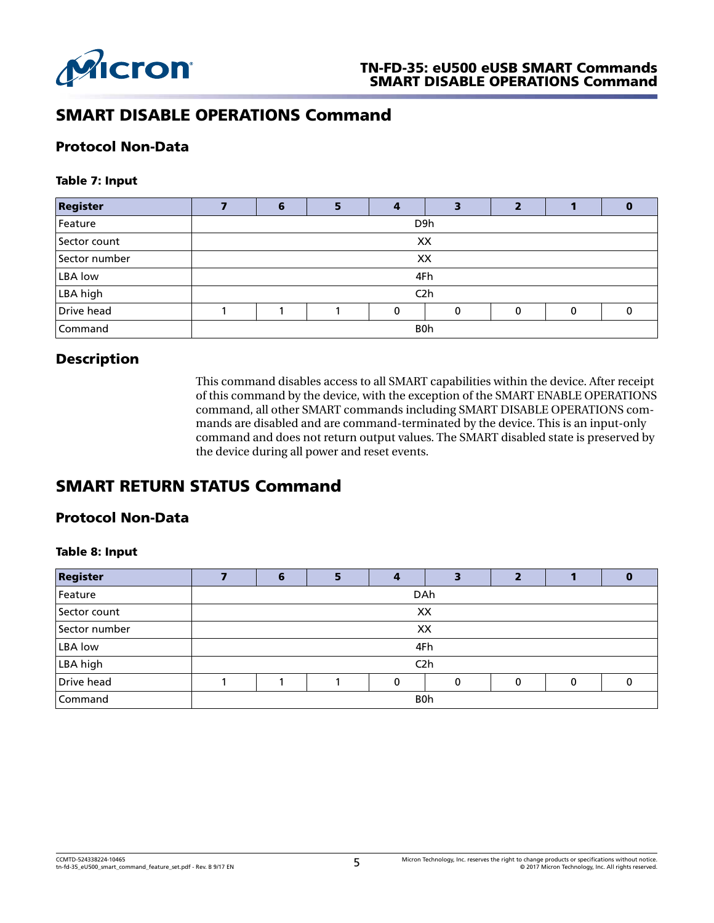

# SMART DISABLE OPERATIONS Command

#### Protocol Non-Data

#### Table 7: Input

| <b>Register</b> |     | 6                |  |   | э |   |   |  |
|-----------------|-----|------------------|--|---|---|---|---|--|
| Feature         |     | D <sub>9</sub> h |  |   |   |   |   |  |
| Sector count    |     | XX               |  |   |   |   |   |  |
| Sector number   |     | XX               |  |   |   |   |   |  |
| LBA low         |     | 4Fh              |  |   |   |   |   |  |
| LBA high        |     | C <sub>2</sub> h |  |   |   |   |   |  |
| Drive head      |     |                  |  | O | 0 | O | 0 |  |
| Command         | B0h |                  |  |   |   |   |   |  |

## Description

This command disables access to all SMART capabilities within the device. After receipt of this command by the device, with the exception of the SMART ENABLE OPERATIONS command, all other SMART commands including SMART DISABLE OPERATIONS commands are disabled and are command-terminated by the device. This is an input-only command and does not return output values. The SMART disabled state is preserved by the device during all power and reset events.

# SMART RETURN STATUS Command

## Protocol Non-Data

#### Table 8: Input

| <b>Register</b> |            | 6                |  |          |          |          |   | o |  |
|-----------------|------------|------------------|--|----------|----------|----------|---|---|--|
| Feature         |            | DAh              |  |          |          |          |   |   |  |
| Sector count    |            | XX               |  |          |          |          |   |   |  |
| Sector number   |            | XX               |  |          |          |          |   |   |  |
| LBA low         |            | 4Fh              |  |          |          |          |   |   |  |
| LBA high        |            | C <sub>2</sub> h |  |          |          |          |   |   |  |
| Drive head      |            |                  |  | $\Omega$ | $\Omega$ | $\Omega$ | 0 |   |  |
| Command         | <b>B0h</b> |                  |  |          |          |          |   |   |  |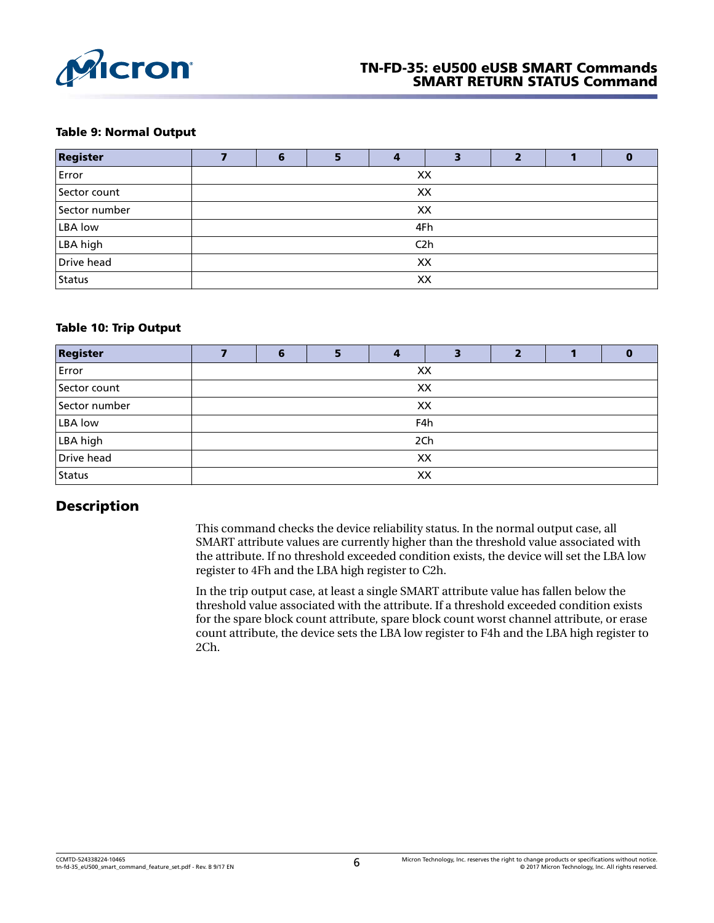

#### TN-FD-35: eU500 eUSB SMART Commands SMART RETURN STATUS Command

#### Table 9: Normal Output

| <b>Register</b> | 6                | в |  | З |  |  |  |  |
|-----------------|------------------|---|--|---|--|--|--|--|
| Error           | XX               |   |  |   |  |  |  |  |
| Sector count    | XX               |   |  |   |  |  |  |  |
| Sector number   | XX               |   |  |   |  |  |  |  |
| LBA low         | 4Fh              |   |  |   |  |  |  |  |
| LBA high        | C <sub>2</sub> h |   |  |   |  |  |  |  |
| Drive head      | XX               |   |  |   |  |  |  |  |
| Status          | XX               |   |  |   |  |  |  |  |

#### Table 10: Trip Output

| <b>Register</b> |    | 6   | E. | 4  | э |  |  | υ |  |
|-----------------|----|-----|----|----|---|--|--|---|--|
| Error           |    |     |    | XX |   |  |  |   |  |
| Sector count    |    | XX  |    |    |   |  |  |   |  |
| Sector number   |    | XX  |    |    |   |  |  |   |  |
| <b>LBA</b> low  |    | F4h |    |    |   |  |  |   |  |
| LBA high        |    | 2Ch |    |    |   |  |  |   |  |
| Drive head      |    | XX  |    |    |   |  |  |   |  |
| Status          | XX |     |    |    |   |  |  |   |  |

## Description

This command checks the device reliability status. In the normal output case, all SMART attribute values are currently higher than the threshold value associated with the attribute. If no threshold exceeded condition exists, the device will set the LBA low register to 4Fh and the LBA high register to C2h.

In the trip output case, at least a single SMART attribute value has fallen below the threshold value associated with the attribute. If a threshold exceeded condition exists for the spare block count attribute, spare block count worst channel attribute, or erase count attribute, the device sets the LBA low register to F4h and the LBA high register to 2Ch.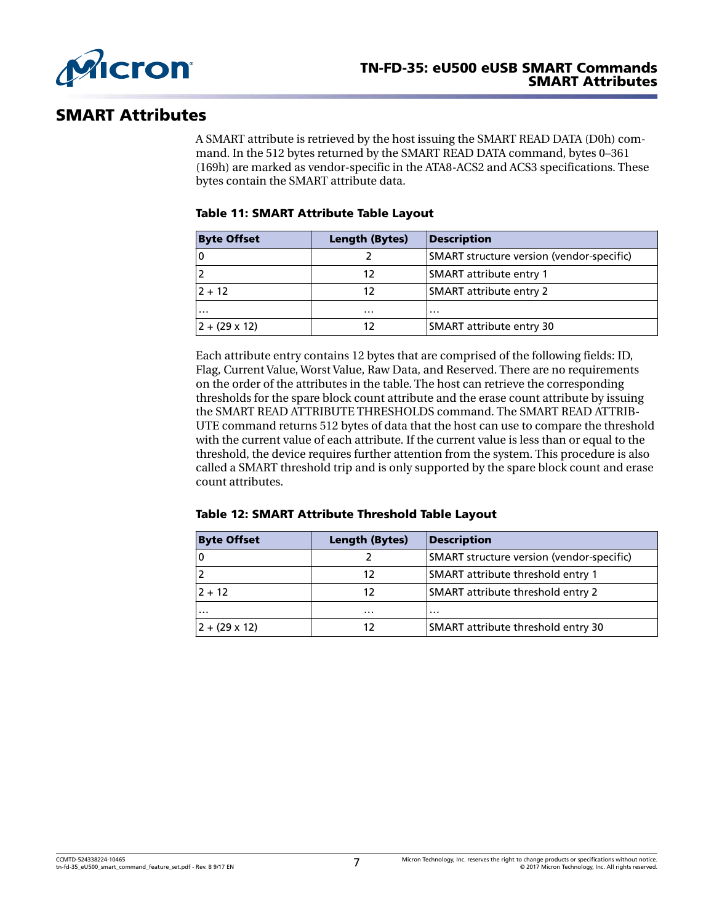

## SMART Attributes

A SMART attribute is retrieved by the host issuing the SMART READ DATA (D0h) command. In the 512 bytes returned by the SMART READ DATA command, bytes 0–361 (169h) are marked as vendor-specific in the ATA8-ACS2 and ACS3 specifications. These bytes contain the SMART attribute data.

#### Table 11: SMART Attribute Table Layout

| <b>Byte Offset</b>     | <b>Length (Bytes)</b> | <b>Description</b>                        |
|------------------------|-----------------------|-------------------------------------------|
|                        |                       | SMART structure version (vendor-specific) |
|                        | 12                    | <b>SMART</b> attribute entry 1            |
| $2 + 12$               | 12                    | <b>SMART attribute entry 2</b>            |
| $\cdots$               | .                     | .                                         |
| $ 2 + (29 \times 12) $ | 12                    | SMART attribute entry 30                  |

Each attribute entry contains 12 bytes that are comprised of the following fields: ID, Flag, Current Value, Worst Value, Raw Data, and Reserved. There are no requirements on the order of the attributes in the table. The host can retrieve the corresponding thresholds for the spare block count attribute and the erase count attribute by issuing the SMART READ ATTRIBUTE THRESHOLDS command. The SMART READ ATTRIB-UTE command returns 512 bytes of data that the host can use to compare the threshold with the current value of each attribute. If the current value is less than or equal to the threshold, the device requires further attention from the system. This procedure is also called a SMART threshold trip and is only supported by the spare block count and erase count attributes.

| Table 12: SMART Attribute Threshold Table Layout |  |  |  |  |
|--------------------------------------------------|--|--|--|--|
|--------------------------------------------------|--|--|--|--|

| <b>Byte Offset</b>   | <b>Length (Bytes)</b> | <b>Description</b>                        |
|----------------------|-----------------------|-------------------------------------------|
|                      |                       | SMART structure version (vendor-specific) |
|                      | 12                    | SMART attribute threshold entry 1         |
| $2 + 12$             | 12                    | SMART attribute threshold entry 2         |
| .                    | $\cdots$              | $\cdot$                                   |
| $2 + (29 \times 12)$ | 12                    | SMART attribute threshold entry 30        |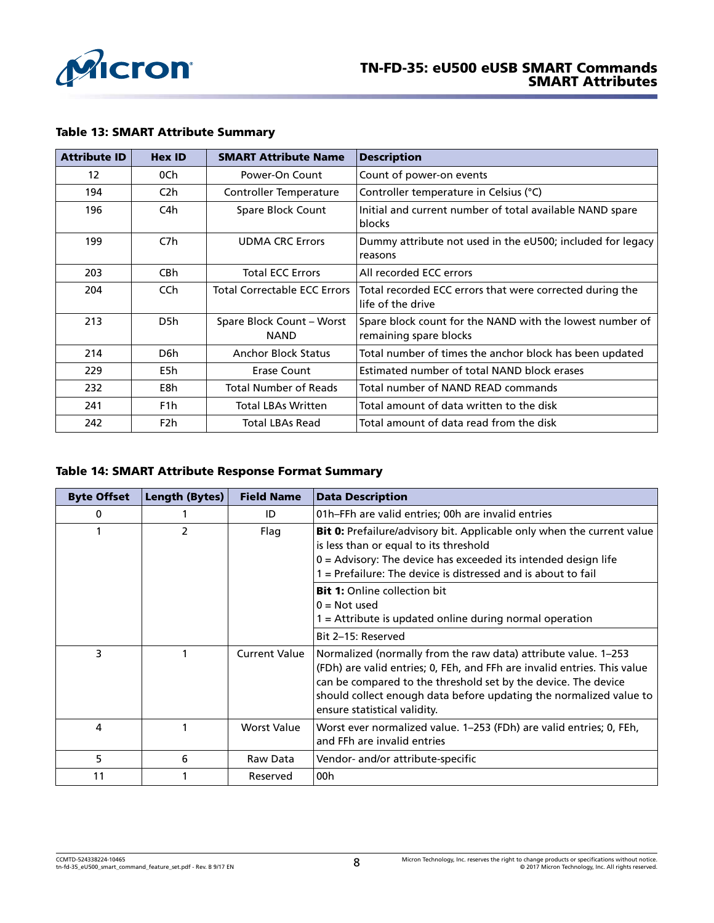

| <b>Attribute ID</b> | <b>Hex ID</b>    | <b>SMART Attribute Name</b>              | <b>Description</b>                                                                 |
|---------------------|------------------|------------------------------------------|------------------------------------------------------------------------------------|
| 12                  | 0Ch              | Power-On Count                           | Count of power-on events                                                           |
| 194                 | C <sub>2</sub> h | Controller Temperature                   | Controller temperature in Celsius (°C)                                             |
| 196                 | C4h              | Spare Block Count                        | Initial and current number of total available NAND spare<br>blocks                 |
| 199                 | C7h              | <b>UDMA CRC Errors</b>                   | Dummy attribute not used in the eU500; included for legacy<br>reasons              |
| 203                 | CB <sub>h</sub>  | <b>Total ECC Errors</b>                  | All recorded ECC errors                                                            |
| 204                 | CC <sub>h</sub>  | <b>Total Correctable ECC Errors</b>      | Total recorded ECC errors that were corrected during the<br>life of the drive      |
| 213                 | D5h              | Spare Block Count - Worst<br><b>NAND</b> | Spare block count for the NAND with the lowest number of<br>remaining spare blocks |
| 214                 | D6h              | <b>Anchor Block Status</b>               | Total number of times the anchor block has been updated                            |
| 229                 | E5h              | Erase Count                              | Estimated number of total NAND block erases                                        |
| 232                 | E8h              | <b>Total Number of Reads</b>             | Total number of NAND READ commands                                                 |
| 241                 | F <sub>1</sub> h | <b>Total LBAs Written</b>                | Total amount of data written to the disk                                           |
| 242                 | F <sub>2</sub> h | Total LBAs Read                          | Total amount of data read from the disk                                            |

#### Table 13: SMART Attribute Summary

#### Table 14: SMART Attribute Response Format Summary

| <b>Byte Offset</b> | <b>Length (Bytes)</b> | <b>Field Name</b>    | <b>Data Description</b>                                                                                                                                                                                                                                                                                            |
|--------------------|-----------------------|----------------------|--------------------------------------------------------------------------------------------------------------------------------------------------------------------------------------------------------------------------------------------------------------------------------------------------------------------|
| 0                  |                       | ID                   | 01h–FFh are valid entries; 00h are invalid entries                                                                                                                                                                                                                                                                 |
|                    | $\mathcal{P}$         | Flag                 | Bit 0: Prefailure/advisory bit. Applicable only when the current value<br>is less than or equal to its threshold<br>$0 =$ Advisory: The device has exceeded its intended design life<br>$=$ Prefailure: The device is distressed and is about to fail                                                              |
|                    |                       |                      | <b>Bit 1:</b> Online collection bit<br>$0 = Not used$<br>$=$ Attribute is updated online during normal operation<br>Bit 2-15: Reserved                                                                                                                                                                             |
| 3                  |                       | <b>Current Value</b> | Normalized (normally from the raw data) attribute value. 1–253<br>(FDh) are valid entries; 0, FEh, and FFh are invalid entries. This value<br>can be compared to the threshold set by the device. The device<br>should collect enough data before updating the normalized value to<br>ensure statistical validity. |
| 4                  |                       | <b>Worst Value</b>   | Worst ever normalized value. 1-253 (FDh) are valid entries; 0, FEh,<br>and FFh are invalid entries                                                                                                                                                                                                                 |
| 5                  | 6                     | Raw Data             | Vendor- and/or attribute-specific                                                                                                                                                                                                                                                                                  |
| 11                 |                       | Reserved             | 00h                                                                                                                                                                                                                                                                                                                |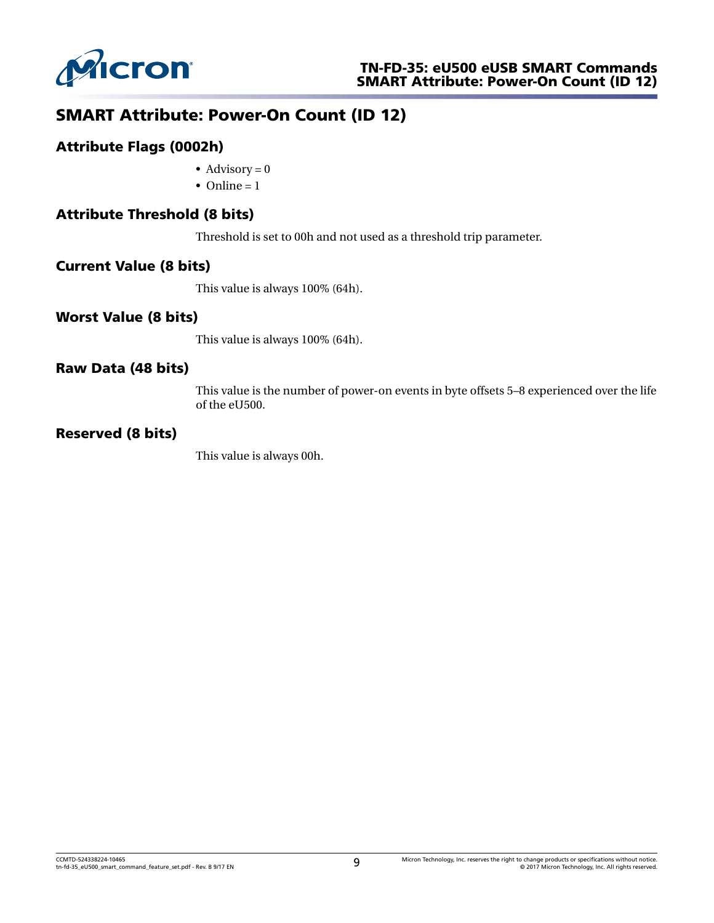

# SMART Attribute: Power-On Count (ID 12)

## Attribute Flags (0002h)

- Advisory =  $0$
- Online  $= 1$

## Attribute Threshold (8 bits)

Threshold is set to 00h and not used as a threshold trip parameter.

#### Current Value (8 bits)

This value is always 100% (64h).

#### Worst Value (8 bits)

This value is always 100% (64h).

#### Raw Data (48 bits)

This value is the number of power-on events in byte offsets 5–8 experienced over the life of the eU500.

#### Reserved (8 bits)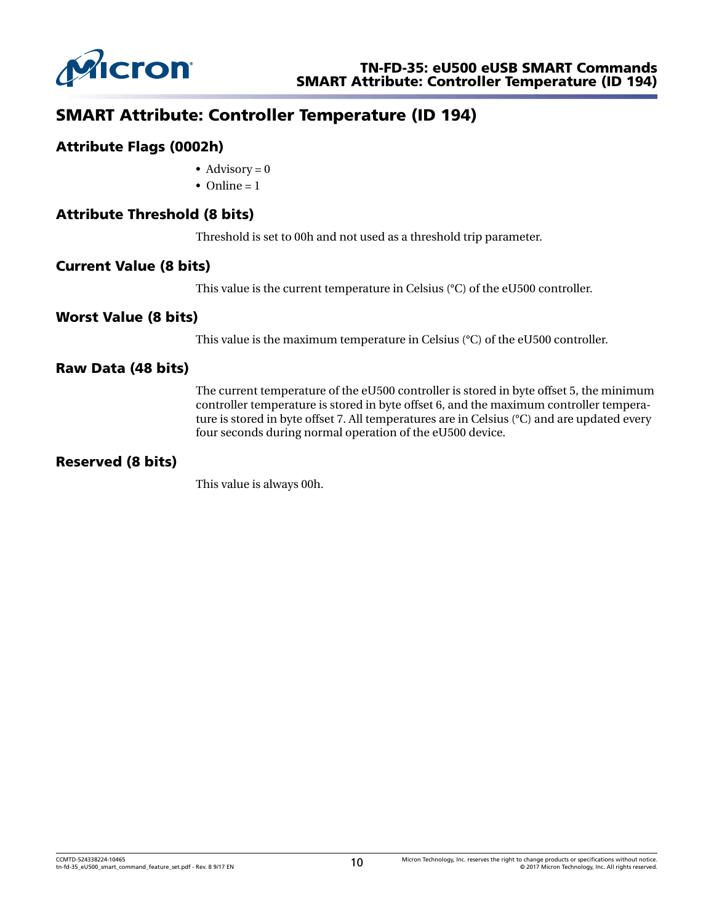

# SMART Attribute: Controller Temperature (ID 194)

#### Attribute Flags (0002h)

- Advisory  $= 0$
- Online  $= 1$

#### Attribute Threshold (8 bits)

Threshold is set to 00h and not used as a threshold trip parameter.

#### Current Value (8 bits)

This value is the current temperature in Celsius (°C) of the eU500 controller.

#### Worst Value (8 bits)

This value is the maximum temperature in Celsius (°C) of the eU500 controller.

#### Raw Data (48 bits)

The current temperature of the eU500 controller is stored in byte offset 5, the minimum controller temperature is stored in byte offset 6, and the maximum controller temperature is stored in byte offset 7. All temperatures are in Celsius (°C) and are updated every four seconds during normal operation of the eU500 device.

#### Reserved (8 bits)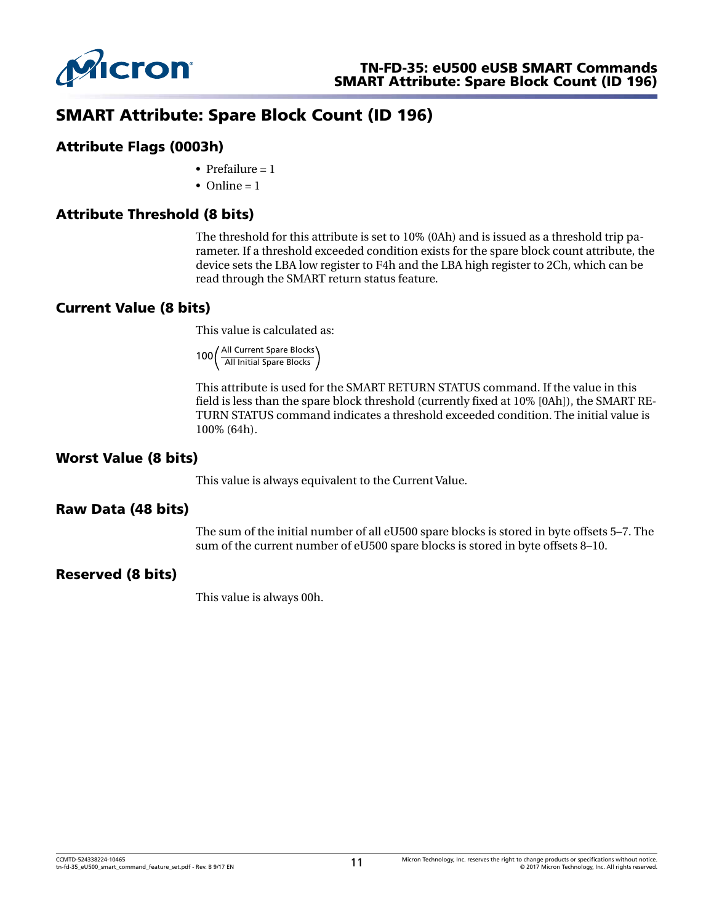

# SMART Attribute: Spare Block Count (ID 196)

#### Attribute Flags (0003h)

- Prefailure  $= 1$
- Online  $= 1$

## Attribute Threshold (8 bits)

The threshold for this attribute is set to 10% (0Ah) and is issued as a threshold trip parameter. If a threshold exceeded condition exists for the spare block count attribute, the device sets the LBA low register to F4h and the LBA high register to 2Ch, which can be read through the SMART return status feature.

## Current Value (8 bits)

This value is calculated as:

100 All Current Spare Blocks<br>All Initial Spare Blocks

This attribute is used for the SMART RETURN STATUS command. If the value in this field is less than the spare block threshold (currently fixed at 10% [0Ah]), the SMART RE-TURN STATUS command indicates a threshold exceeded condition. The initial value is 100% (64h).

## Worst Value (8 bits)

This value is always equivalent to the Current Value.

#### Raw Data (48 bits)

The sum of the initial number of all eU500 spare blocks is stored in byte offsets 5–7. The sum of the current number of eU500 spare blocks is stored in byte offsets 8–10.

## Reserved (8 bits)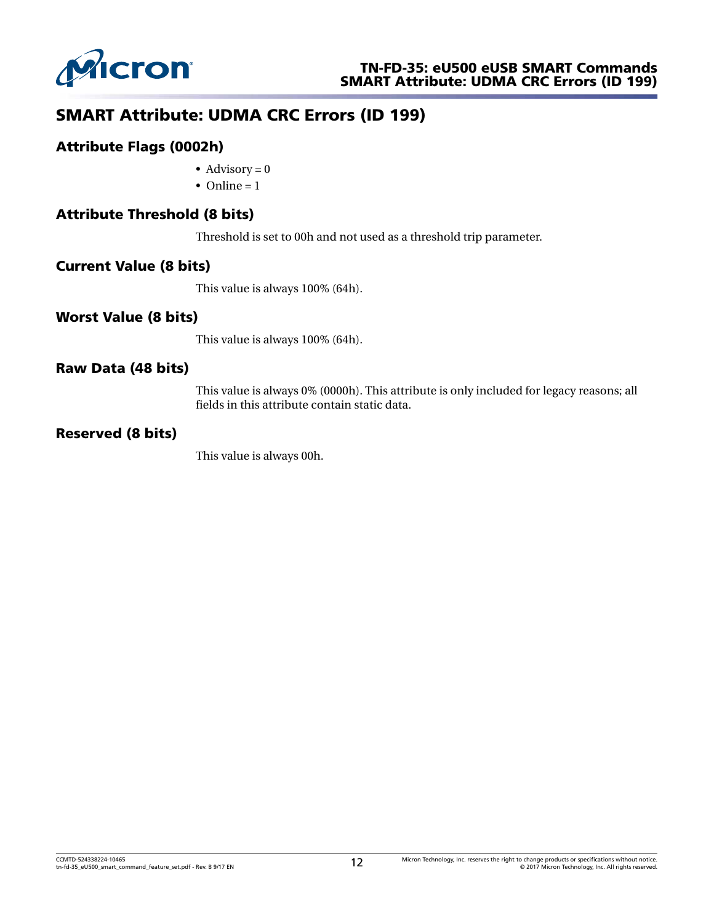

# SMART Attribute: UDMA CRC Errors (ID 199)

#### Attribute Flags (0002h)

- Advisory =  $0$
- Online  $= 1$

## Attribute Threshold (8 bits)

Threshold is set to 00h and not used as a threshold trip parameter.

#### Current Value (8 bits)

This value is always 100% (64h).

#### Worst Value (8 bits)

This value is always 100% (64h).

#### Raw Data (48 bits)

This value is always 0% (0000h). This attribute is only included for legacy reasons; all fields in this attribute contain static data.

#### Reserved (8 bits)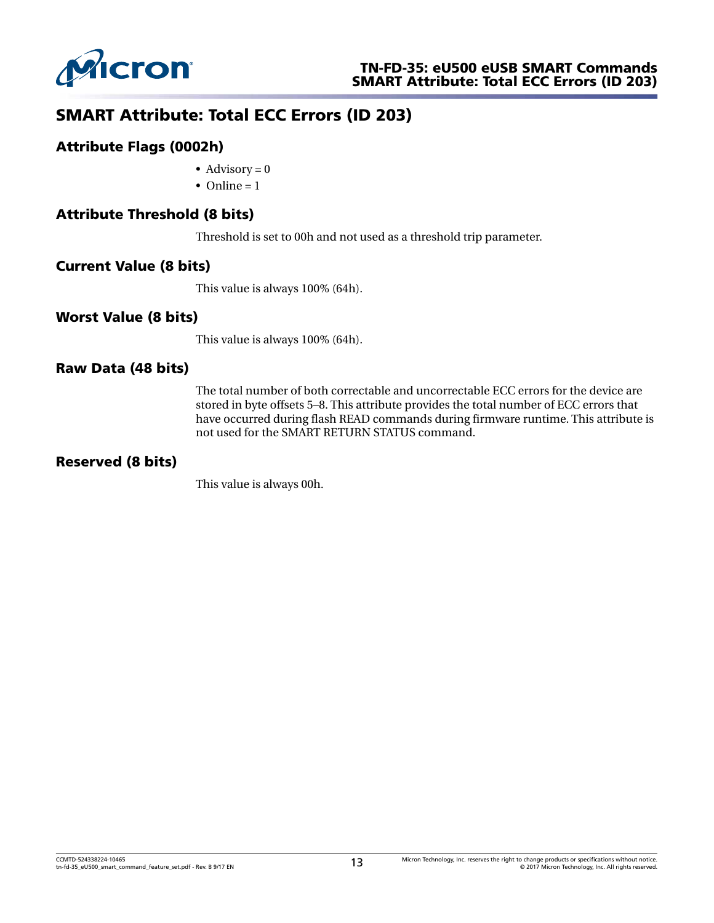

# SMART Attribute: Total ECC Errors (ID 203)

#### Attribute Flags (0002h)

- Advisory  $= 0$
- Online  $= 1$

## Attribute Threshold (8 bits)

Threshold is set to 00h and not used as a threshold trip parameter.

#### Current Value (8 bits)

This value is always 100% (64h).

#### Worst Value (8 bits)

This value is always 100% (64h).

#### Raw Data (48 bits)

The total number of both correctable and uncorrectable ECC errors for the device are stored in byte offsets 5–8. This attribute provides the total number of ECC errors that have occurred during flash READ commands during firmware runtime. This attribute is not used for the SMART RETURN STATUS command.

#### Reserved (8 bits)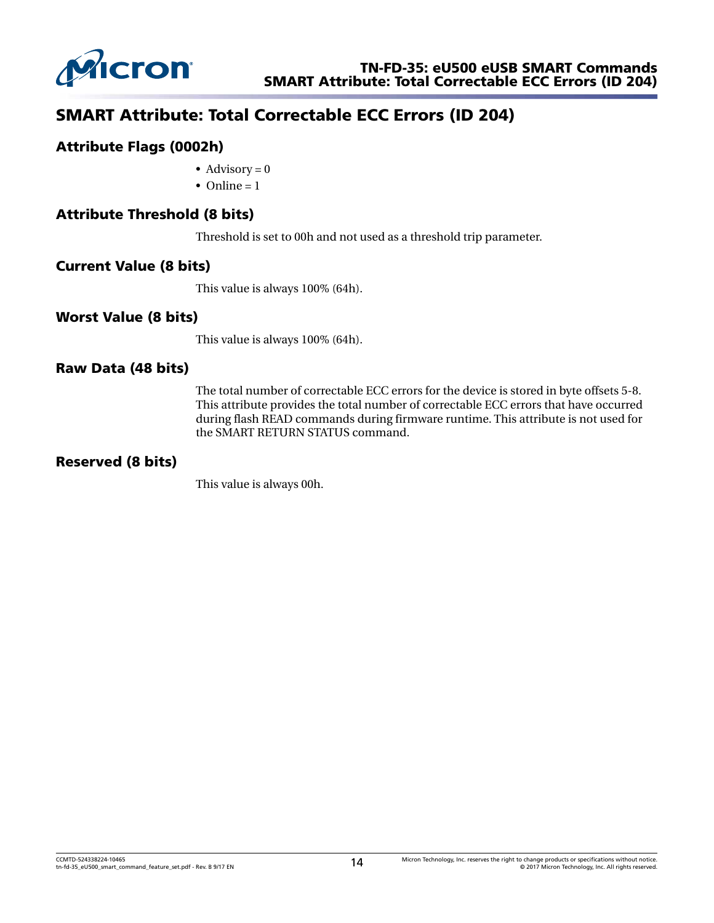

# SMART Attribute: Total Correctable ECC Errors (ID 204)

#### Attribute Flags (0002h)

- Advisory  $= 0$
- Online  $= 1$

#### Attribute Threshold (8 bits)

Threshold is set to 00h and not used as a threshold trip parameter.

#### Current Value (8 bits)

This value is always 100% (64h).

#### Worst Value (8 bits)

This value is always 100% (64h).

#### Raw Data (48 bits)

The total number of correctable ECC errors for the device is stored in byte offsets 5-8. This attribute provides the total number of correctable ECC errors that have occurred during flash READ commands during firmware runtime. This attribute is not used for the SMART RETURN STATUS command.

#### Reserved (8 bits)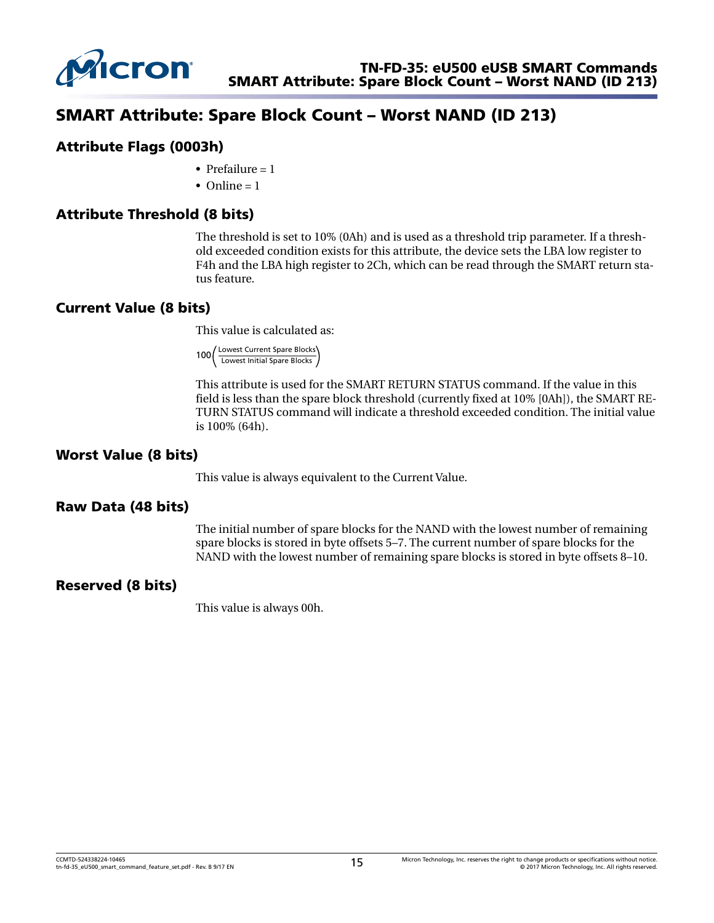

# SMART Attribute: Spare Block Count – Worst NAND (ID 213)

#### Attribute Flags (0003h)

- Prefailure  $= 1$
- Online  $= 1$

## Attribute Threshold (8 bits)

The threshold is set to 10% (0Ah) and is used as a threshold trip parameter. If a threshold exceeded condition exists for this attribute, the device sets the LBA low register to F4h and the LBA high register to 2Ch, which can be read through the SMART return status feature.

## Current Value (8 bits)

This value is calculated as:

100 Lowest Current Spare Blocks Lowest Initial Spare Blocks

This attribute is used for the SMART RETURN STATUS command. If the value in this field is less than the spare block threshold (currently fixed at 10% [0Ah]), the SMART RE-TURN STATUS command will indicate a threshold exceeded condition. The initial value is 100% (64h).

#### Worst Value (8 bits)

This value is always equivalent to the Current Value.

#### Raw Data (48 bits)

The initial number of spare blocks for the NAND with the lowest number of remaining spare blocks is stored in byte offsets 5–7. The current number of spare blocks for the NAND with the lowest number of remaining spare blocks is stored in byte offsets 8–10.

#### Reserved (8 bits)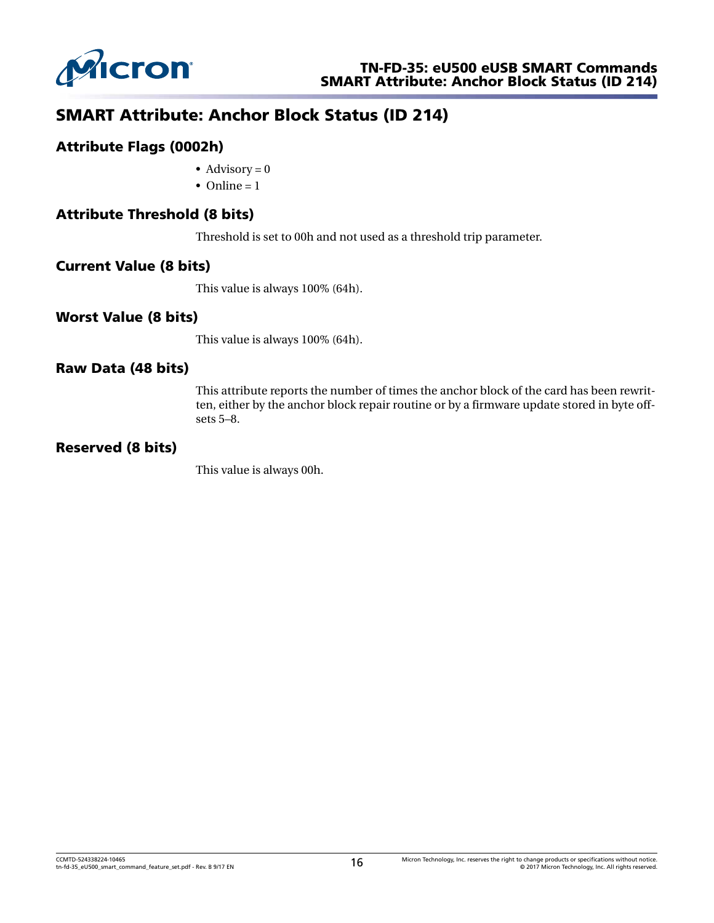

# SMART Attribute: Anchor Block Status (ID 214)

## Attribute Flags (0002h)

- Advisory =  $0$
- Online  $= 1$

## Attribute Threshold (8 bits)

Threshold is set to 00h and not used as a threshold trip parameter.

#### Current Value (8 bits)

This value is always 100% (64h).

#### Worst Value (8 bits)

This value is always 100% (64h).

#### Raw Data (48 bits)

This attribute reports the number of times the anchor block of the card has been rewritten, either by the anchor block repair routine or by a firmware update stored in byte offsets 5–8.

#### Reserved (8 bits)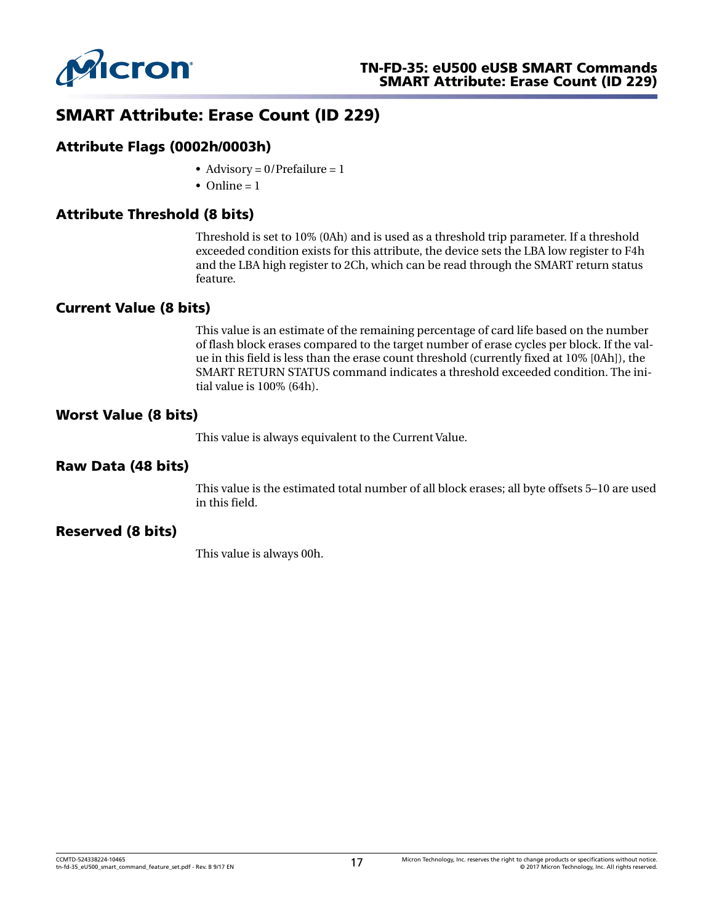

# SMART Attribute: Erase Count (ID 229)

#### Attribute Flags (0002h/0003h)

- Advisory =  $0$ /Prefailure = 1
- Online  $= 1$

## Attribute Threshold (8 bits)

Threshold is set to 10% (0Ah) and is used as a threshold trip parameter. If a threshold exceeded condition exists for this attribute, the device sets the LBA low register to F4h and the LBA high register to 2Ch, which can be read through the SMART return status feature.

#### Current Value (8 bits)

This value is an estimate of the remaining percentage of card life based on the number of flash block erases compared to the target number of erase cycles per block. If the value in this field is less than the erase count threshold (currently fixed at 10% [0Ah]), the SMART RETURN STATUS command indicates a threshold exceeded condition. The initial value is 100% (64h).

#### Worst Value (8 bits)

This value is always equivalent to the Current Value.

#### Raw Data (48 bits)

This value is the estimated total number of all block erases; all byte offsets 5–10 are used in this field.

#### Reserved (8 bits)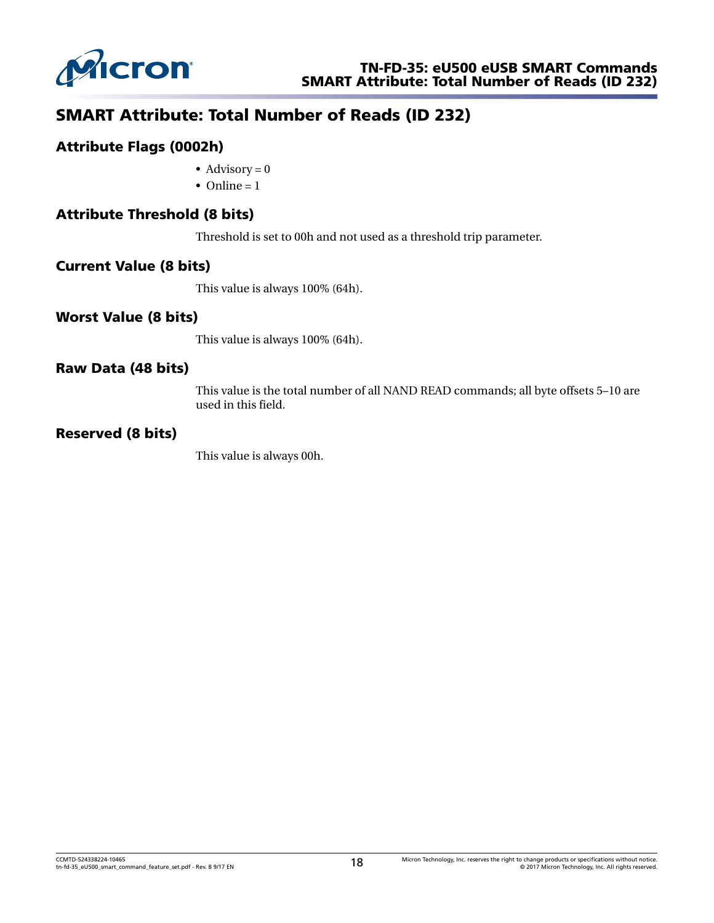

# SMART Attribute: Total Number of Reads (ID 232)

#### Attribute Flags (0002h)

- Advisory =  $0$
- Online  $= 1$

## Attribute Threshold (8 bits)

Threshold is set to 00h and not used as a threshold trip parameter.

#### Current Value (8 bits)

This value is always 100% (64h).

#### Worst Value (8 bits)

This value is always 100% (64h).

#### Raw Data (48 bits)

This value is the total number of all NAND READ commands; all byte offsets 5–10 are used in this field.

#### Reserved (8 bits)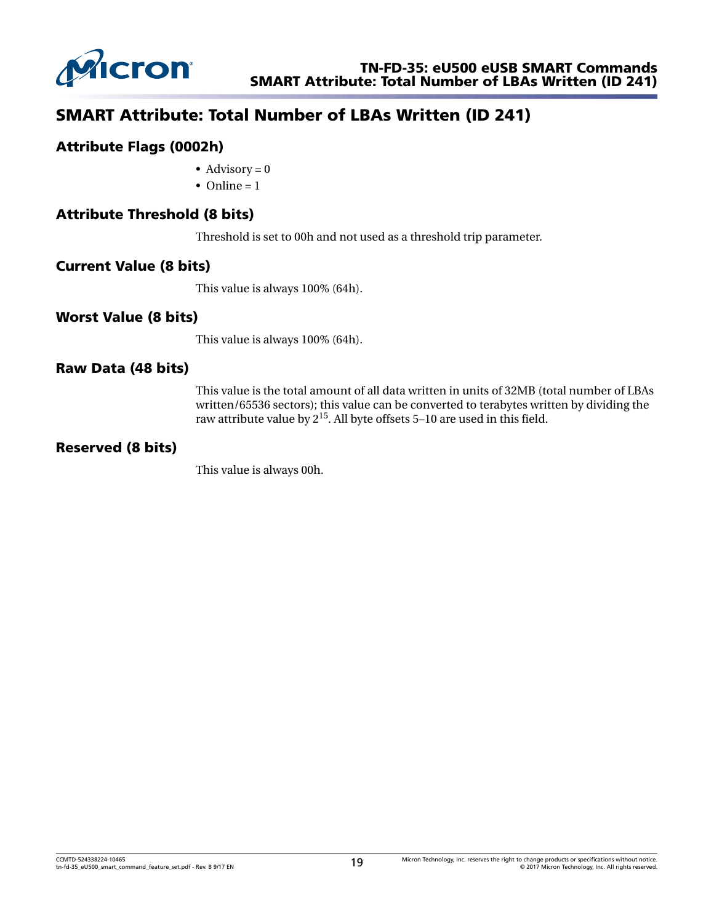

# SMART Attribute: Total Number of LBAs Written (ID 241)

#### Attribute Flags (0002h)

- Advisory  $= 0$
- Online  $= 1$

#### Attribute Threshold (8 bits)

Threshold is set to 00h and not used as a threshold trip parameter.

#### Current Value (8 bits)

This value is always 100% (64h).

#### Worst Value (8 bits)

This value is always 100% (64h).

#### Raw Data (48 bits)

This value is the total amount of all data written in units of 32MB (total number of LBAs written/65536 sectors); this value can be converted to terabytes written by dividing the raw attribute value by  $2^{15}$ . All byte offsets 5–10 are used in this field.

#### Reserved (8 bits)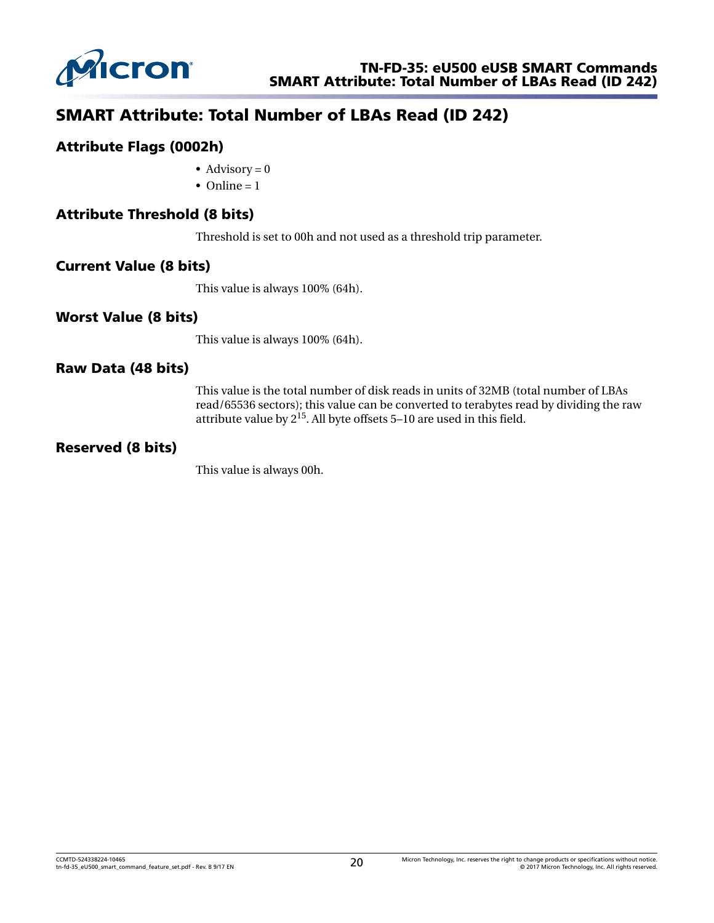

# SMART Attribute: Total Number of LBAs Read (ID 242)

#### Attribute Flags (0002h)

- Advisory  $= 0$
- Online  $= 1$

#### Attribute Threshold (8 bits)

Threshold is set to 00h and not used as a threshold trip parameter.

#### Current Value (8 bits)

This value is always 100% (64h).

#### Worst Value (8 bits)

This value is always 100% (64h).

#### Raw Data (48 bits)

This value is the total number of disk reads in units of 32MB (total number of LBAs read/65536 sectors); this value can be converted to terabytes read by dividing the raw attribute value by 215. All byte offsets 5–10 are used in this field.

#### Reserved (8 bits)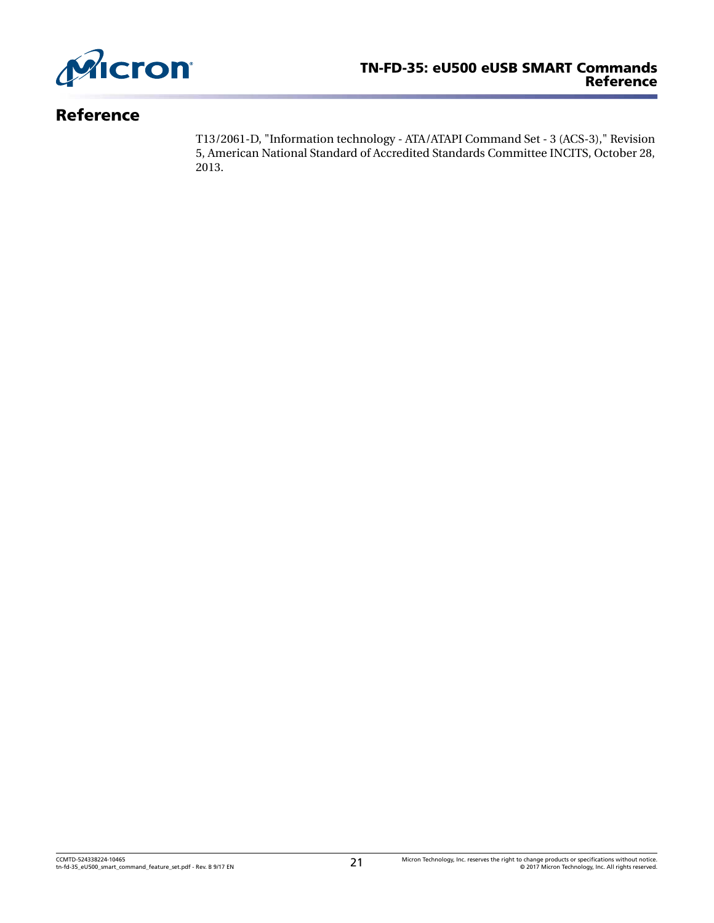

# Reference

T13/2061-D, "Information technology - ATA/ATAPI Command Set - 3 (ACS-3)," Revision 5, American National Standard of Accredited Standards Committee INCITS, October 28, 2013.